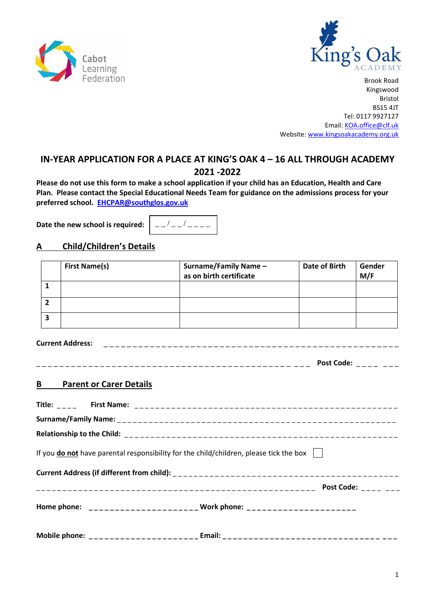



# **IN-YEAR APPLICATION FOR A PLACE AT KING'S OAK 4 – 16 ALL THROUGH ACADEMY 2021 -2022**

**Please do not use this form to make a school application if your child has an Education, Health and Care Plan. Please contact the Special Educational Needs Team for guidance on the admissions process for your preferred school. [EHCPAR@southglos.gov.uk](mailto:EHCPAR@southglos.gov.uk)**

**Date the new school is required:**  $- -$  /  $- -$  /  $-$ 

## **A Child/Children's Details**

| <b>First Name(s)</b> | Surname/Family Name -<br>as on birth certificate | Date of Birth | Gender<br>M/F |
|----------------------|--------------------------------------------------|---------------|---------------|
|                      |                                                  |               |               |
|                      |                                                  |               |               |
|                      |                                                  |               |               |

**Current Address:** \_ \_ \_ \_ \_ \_ \_ \_ \_ \_ \_ \_ \_ \_ \_ \_ \_ \_ \_ \_ \_ \_ \_ \_ \_ \_ \_ \_ \_ \_ \_ \_ \_ \_ \_ \_ \_ \_ \_ \_ \_ \_ \_ \_ \_ \_ \_ \_ \_ \_ \_

\_ \_ \_ \_ \_ \_ \_ \_ \_ \_ \_ \_ \_ \_ \_ \_ \_ \_ \_ \_ \_ \_ \_ \_ \_ \_ \_ \_ \_ \_ \_ \_ \_ \_ \_ \_ \_ \_ \_ \_ \_ \_ \_ \_ \_ \_ \_ **Post Code:** \_ \_ \_ \_ \_ \_ \_

#### **B Parent or Carer Details**

| If you <b>do not</b> have parental responsibility for the child/children, please tick the box $\ \cdot\ $ |
|-----------------------------------------------------------------------------------------------------------|
|                                                                                                           |
|                                                                                                           |
| Home phone: ______________________ Work phone: _______________________                                    |
| Mobile phone: ________________________Email: ___________________________________                          |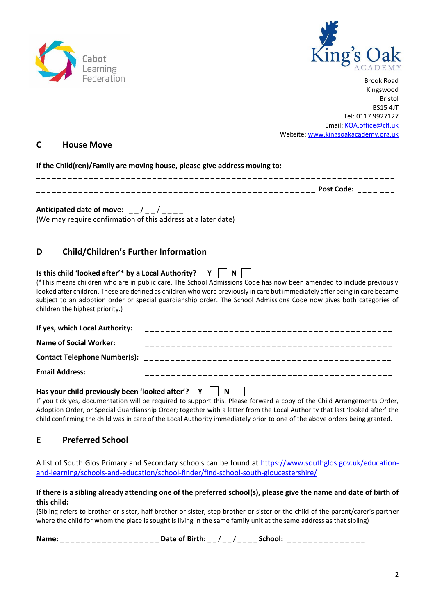



#### **C House Move**

| If the Child(ren)/Family are moving house, please give address moving to: |            |
|---------------------------------------------------------------------------|------------|
|                                                                           | Post Code: |

Anticipated date of move: \_\_/\_\_/\_\_\_ (We may require confirmation of this address at a later date)

## **D Child/Children's Further Information**

| Is this child 'looked after'* by a Local Authority? $Y \parallel$ | $\overline{\phantom{a}}$ N                                                                                                                                                                                                                                                                                                                                                |
|-------------------------------------------------------------------|---------------------------------------------------------------------------------------------------------------------------------------------------------------------------------------------------------------------------------------------------------------------------------------------------------------------------------------------------------------------------|
| children the highest priority.)                                   | (*This means children who are in public care. The School Admissions Code has now been amended to include previously<br>looked after children. These are defined as children who were previously in care but immediately after being in care became<br>subject to an adoption order or special guardianship order. The School Admissions Code now gives both categories of |
| If yes, which Local Authority:                                    |                                                                                                                                                                                                                                                                                                                                                                           |
| <b>Name of Social Worker:</b>                                     |                                                                                                                                                                                                                                                                                                                                                                           |
|                                                                   |                                                                                                                                                                                                                                                                                                                                                                           |
| <b>Email Address:</b>                                             |                                                                                                                                                                                                                                                                                                                                                                           |
| Has your child previously been 'looked after'? $Y \parallel$      | N<br>If you tick yes, documentation will be required to support this. Please forward a copy of the Child Arrangements Order,                                                                                                                                                                                                                                              |

Adoption Order, or Special Guardianship Order; together with a letter from the Local Authority that last 'looked after' the child confirming the child was in care of the Local Authority immediately prior to one of the above orders being granted.

#### **E Preferred School**

A list of South Glos Primary and Secondary schools can be found at [https://www.southglos.gov.uk/education](https://www.southglos.gov.uk/education-and-learning/schools-and-education/school-finder/find-school-south-gloucestershire/)[and-learning/schools-and-education/school-finder/find-school-south-gloucestershire/](https://www.southglos.gov.uk/education-and-learning/schools-and-education/school-finder/find-school-south-gloucestershire/)

#### **If there is a sibling already attending one of the preferred school(s), please give the name and date of birth of this child:**

(Sibling refers to brother or sister, half brother or sister, step brother or sister or the child of the parent/carer's partner where the child for whom the place is sought is living in the same family unit at the same address as that sibling)

| Nan | -------------------- | - - | $\overline{\phantom{a}}$ | _______________ |
|-----|----------------------|-----|--------------------------|-----------------|
|-----|----------------------|-----|--------------------------|-----------------|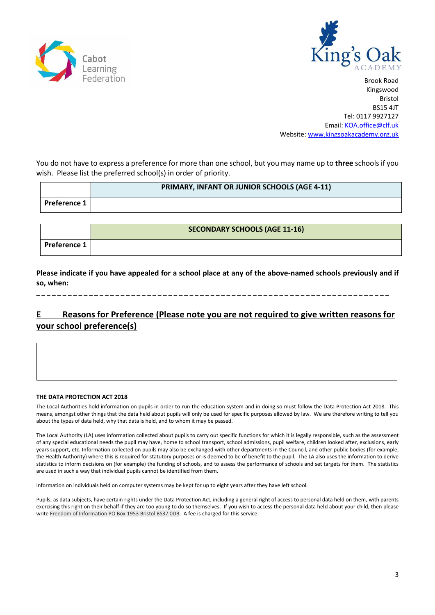



You do not have to express a preference for more than one school, but you may name up to **three** schools if you wish. Please list the preferred school(s) in order of priority.

|                  | <b>PRIMARY, INFANT OR JUNIOR SCHOOLS (AGE 4-11)</b> |
|------------------|-----------------------------------------------------|
| l Preference 1 l |                                                     |

|                     | <b>SECONDARY SCHOOLS (AGE 11-16)</b> |
|---------------------|--------------------------------------|
| <b>Preference 1</b> |                                      |

**Please indicate if you have appealed for a school place at any of the above-named schools previously and if so, when:**

\_ \_ \_ \_ \_ \_ \_ \_ \_ \_ \_ \_ \_ \_ \_ \_ \_ \_ \_ \_ \_ \_ \_ \_ \_ \_ \_ \_ \_ \_ \_ \_ \_ \_ \_ \_ \_ \_ \_ \_ \_ \_ \_ \_ \_ \_ \_ \_ \_ \_ \_ \_ \_ \_ \_ \_ \_ \_ \_ \_ \_ \_ \_ \_ \_ \_ \_

## **E Reasons for Preference (Please note you are not required to give written reasons for your school preference(s)**

#### **THE DATA PROTECTION ACT 2018**

*Please continue on separate sheet if necessary*

The Local Authorities hold information on pupils in order to run the education system and in doing so must follow the Data Protection Act 2018. This means, amongst other things that the data held about pupils will only be used for specific purposes allowed by law. We are therefore writing to tell you about the types of data held, why that data is held, and to whom it may be passed.

The Local Authority (LA) uses information collected about pupils to carry out specific functions for which it is legally responsible, such as the assessment of any special educational needs the pupil may have, home to school transport, school admissions, pupil welfare, children looked after, exclusions, early years support, etc. Information collected on pupils may also be exchanged with other departments in the Council, and other public bodies (for example, the Health Authority) where this is required for statutory purposes or is deemed to be of benefit to the pupil. The LA also uses the information to derive statistics to inform decisions on (for example) the funding of schools, and to assess the performance of schools and set targets for them. The statistics are used in such a way that individual pupils cannot be identified from them.

Information on individuals held on computer systems may be kept for up to eight years after they have left school.

Pupils, as data subjects, have certain rights under the Data Protection Act, including a general right of access to personal data held on them, with parents exercising this right on their behalf if they are too young to do so themselves. If you wish to access the personal data held about your child, then please write Freedom of Information PO Box 1953 Bristol BS37 0DB. A fee is charged for this service.